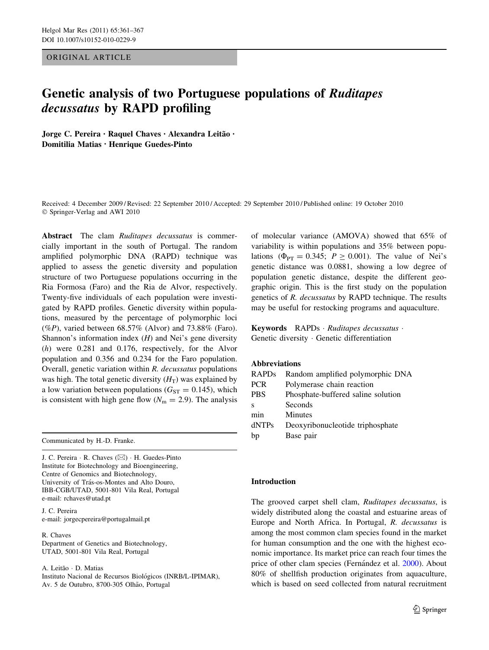# ORIGINAL ARTICLE

# Genetic analysis of two Portuguese populations of Ruditapes decussatus by RAPD profiling

Jorge C. Pereira · Raquel Chaves · Alexandra Leitão · Domitilia Matias • Henrique Guedes-Pinto

Received: 4 December 2009 / Revised: 22 September 2010 / Accepted: 29 September 2010 / Published online: 19 October 2010 © Springer-Verlag and AWI 2010

Abstract The clam Ruditapes decussatus is commercially important in the south of Portugal. The random amplified polymorphic DNA (RAPD) technique was applied to assess the genetic diversity and population structure of two Portuguese populations occurring in the Ria Formosa (Faro) and the Ria de Alvor, respectively. Twenty-five individuals of each population were investigated by RAPD profiles. Genetic diversity within populations, measured by the percentage of polymorphic loci (%P), varied between  $68.57\%$  (Alvor) and  $73.88\%$  (Faro). Shannon's information index  $(H)$  and Nei's gene diversity (h) were 0.281 and 0.176, respectively, for the Alvor population and 0.356 and 0.234 for the Faro population. Overall, genetic variation within R. decussatus populations was high. The total genetic diversity  $(H_T)$  was explained by a low variation between populations ( $G_{ST} = 0.145$ ), which is consistent with high gene flow  $(N<sub>m</sub> = 2.9)$ . The analysis

Communicated by H.-D. Franke.

J. C. Pereira ⋅ R. Chaves (⊠) ⋅ H. Guedes-Pinto Institute for Biotechnology and Bioengineering, Centre of Genomics and Biotechnology, University of Trás-os-Montes and Alto Douro, IBB-CGB/UTAD, 5001-801 Vila Real, Portugal e-mail: rchaves@utad.pt

J. C. Pereira e-mail: jorgecpereira@portugalmail.pt

R. Chaves Department of Genetics and Biotechnology, UTAD, 5001-801 Vila Real, Portugal

A. Leitão · D. Matias

Instituto Nacional de Recursos Biológicos (INRB/L-IPIMAR), Av. 5 de Outubro, 8700-305 Olhão, Portugal

of molecular variance (AMOVA) showed that 65% of variability is within populations and 35% between populations ( $\Phi_{PT} = 0.345$ ;  $P \ge 0.001$ ). The value of Nei's genetic distance was 0.0881, showing a low degree of population genetic distance, despite the different geographic origin. This is the first study on the population genetics of R. decussatus by RAPD technique. The results may be useful for restocking programs and aquaculture.

Keywords RAPDs · Ruditapes decussatus · Genetic diversity - Genetic differentiation

## Abbreviations

| <b>RAPDs</b> | Random amplified polymorphic DNA   |  |  |
|--------------|------------------------------------|--|--|
| <b>PCR</b>   | Polymerase chain reaction          |  |  |
| <b>PBS</b>   | Phosphate-buffered saline solution |  |  |
| S            | Seconds                            |  |  |
| min          | Minutes                            |  |  |
| dNTPs        | Deoxyribonucleotide triphosphate   |  |  |
| bp           | Base pair                          |  |  |

## Introduction

The grooved carpet shell clam, Ruditapes decussatus, is widely distributed along the coastal and estuarine areas of Europe and North Africa. In Portugal, R. decussatus is among the most common clam species found in the market for human consumption and the one with the highest economic importance. Its market price can reach four times the price of other clam species (Fernández et al. [2000](#page-5-0)). About 80% of shellfish production originates from aquaculture, which is based on seed collected from natural recruitment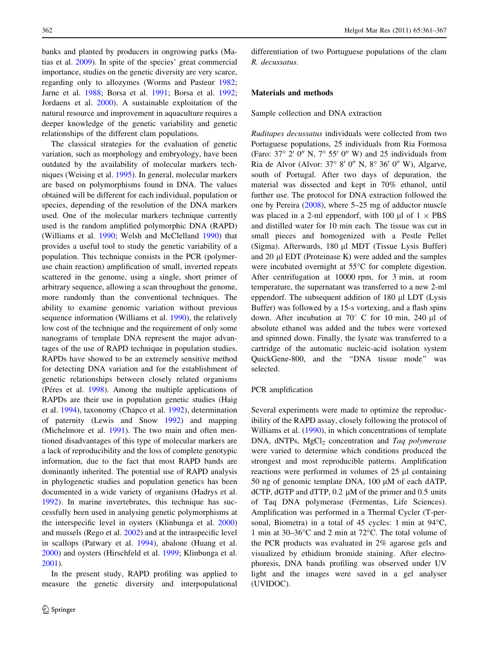banks and planted by producers in ongrowing parks (Matias et al. [2009](#page-5-0)). In spite of the species' great commercial importance, studies on the genetic diversity are very scarce, regarding only to allozymes (Worms and Pasteur [1982](#page-6-0); Jarne et al. [1988](#page-5-0); Borsa et al. [1991;](#page-5-0) Borsa et al. [1992](#page-5-0); Jordaens et al. [2000](#page-5-0)). A sustainable exploitation of the natural resource and improvement in aquaculture requires a deeper knowledge of the genetic variability and genetic relationships of the different clam populations.

The classical strategies for the evaluation of genetic variation, such as morphology and embryology, have been outdated by the availability of molecular markers techniques (Weising et al. [1995\)](#page-5-0). In general, molecular markers are based on polymorphisms found in DNA. The values obtained will be different for each individual, population or species, depending of the resolution of the DNA markers used. One of the molecular markers technique currently used is the random amplified polymorphic DNA (RAPD) (Williams et al. [1990](#page-6-0); Welsh and McClelland [1990\)](#page-6-0) that provides a useful tool to study the genetic variability of a population. This technique consists in the PCR (polymerase chain reaction) amplification of small, inverted repeats scattered in the genome, using a single, short primer of arbitrary sequence, allowing a scan throughout the genome, more randomly than the conventional techniques. The ability to examine genomic variation without previous sequence information (Williams et al. [1990](#page-6-0)), the relatively low cost of the technique and the requirement of only some nanograms of template DNA represent the major advantages of the use of RAPD technique in population studies. RAPDs have showed to be an extremely sensitive method for detecting DNA variation and for the establishment of genetic relationships between closely related organisms (Péres et al. [1998](#page-5-0)). Among the multiple applications of RAPDs are their use in population genetic studies (Haig et al. [1994\)](#page-5-0), taxonomy (Chapco et al. [1992\)](#page-5-0), determination of paternity (Lewis and Snow [1992](#page-5-0)) and mapping (Michelmore et al. [1991\)](#page-5-0). The two main and often mentioned disadvantages of this type of molecular markers are a lack of reproducibility and the loss of complete genotypic information, due to the fact that most RAPD bands are dominantly inherited. The potential use of RAPD analysis in phylogenetic studies and population genetics has been documented in a wide variety of organisms (Hadrys et al. [1992\)](#page-5-0). In marine invertebrates, this technique has successfully been used in analysing genetic polymorphisms at the interspecific level in oysters (Klinbunga et al. [2000\)](#page-5-0) and mussels (Rego et al. [2002\)](#page-5-0) and at the intraspecific level in scallops (Patwary et al. [1994\)](#page-5-0), abalone (Huang et al. [2000\)](#page-5-0) and oysters (Hirschfeld et al. [1999;](#page-5-0) Klinbunga et al. [2001\)](#page-5-0).

In the present study, RAPD profiling was applied to measure the genetic diversity and interpopulational differentiation of two Portuguese populations of the clam R. decussatus.

# Materials and methods

Sample collection and DNA extraction

Ruditapes decussatus individuals were collected from two Portuguese populations, 25 individuals from Ria Formosa (Faro:  $37^{\circ}$  2' 0" N,  $7^{\circ}$  55' 0" W) and 25 individuals from Ria de Alvor (Alvor:  $37^{\circ}$  8' 0" N,  $8^{\circ}$  36' 0" W), Algarve, south of Portugal. After two days of depuration, the material was dissected and kept in 70% ethanol, until further use. The protocol for DNA extraction followed the one by Pereira [\(2008](#page-5-0)), where 5–25 mg of adductor muscle was placed in a 2-ml eppendorf, with 100  $\mu$ l of 1  $\times$  PBS and distilled water for 10 min each. The tissue was cut in small pieces and homogenized with a Pestle Pellet (Sigma). Afterwards, 180 µl MDT (Tissue Lysis Buffer) and  $20 \mu$  EDT (Proteinase K) were added and the samples were incubated overnight at  $55^{\circ}$ C for complete digestion. After centrifugation at 10000 rpm, for 3 min, at room temperature, the supernatant was transferred to a new 2-ml eppendorf. The subsequent addition of  $180 \mu$ l LDT (Lysis Buffer) was followed by a 15-s vortexing, and a flash spins down. After incubation at  $70^{\circ}$  C for 10 min, 240 µl of absolute ethanol was added and the tubes were vortexed and spinned down. Finally, the lysate was transferred to a cartridge of the automatic nucleic-acid isolation system QuickGene-800, and the ''DNA tissue mode'' was selected.

# PCR amplification

Several experiments were made to optimize the reproducibility of the RAPD assay, closely following the protocol of Williams et al. [\(1990](#page-6-0)), in which concentrations of template DNA,  $dNTPs$ ,  $MgCl<sub>2</sub>$  concentration and Taq polymerase were varied to determine which conditions produced the strongest and most reproducible patterns. Amplification reactions were performed in volumes of  $25 \mu l$  containing 50 ng of genomic template DNA,  $100 \mu M$  of each dATP, dCTP, dGTP and dTTP,  $0.2 \mu M$  of the primer and  $0.5 \text{ units}$ of Taq DNA polymerase (Fermentas, Life Sciences). Amplification was performed in a Thermal Cycler (T-personal, Biometra) in a total of 45 cycles: 1 min at  $94^{\circ}$ C, 1 min at  $30-36^{\circ}$ C and 2 min at  $72^{\circ}$ C. The total volume of the PCR products was evaluated in 2% agarose gels and visualized by ethidium bromide staining. After electrophoresis, DNA bands profiling was observed under UV light and the images were saved in a gel analyser (UVIDOC).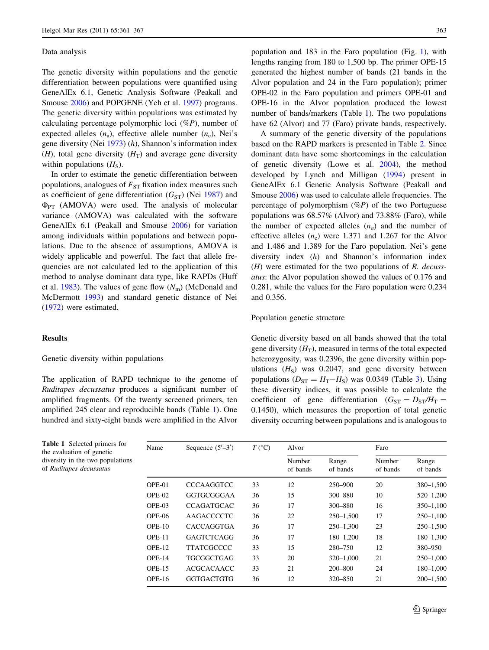## Data analysis

The genetic diversity within populations and the genetic differentiation between populations were quantified using GeneAlEx 6.1, Genetic Analysis Software (Peakall and Smouse [2006\)](#page-5-0) and POPGENE (Yeh et al. [1997\)](#page-6-0) programs. The genetic diversity within populations was estimated by calculating percentage polymorphic loci  $(\%P)$ , number of expected alleles  $(n_a)$ , effective allele number  $(n_e)$ , Nei's gene diversity (Nei [1973](#page-5-0)) (h), Shannon's information index (*H*), total gene diversity ( $H_T$ ) and average gene diversity within populations  $(H<sub>s</sub>)$ .

In order to estimate the genetic differentiation between populations, analogues of  $F_{ST}$  fixation index measures such as coefficient of gene differentiation  $(G_{ST})$  (Nei [1987](#page-5-0)) and  $\Phi_{PT}$  (AMOVA) were used. The analysis of molecular variance (AMOVA) was calculated with the software GeneAlEx 6.1 (Peakall and Smouse [2006\)](#page-5-0) for variation among individuals within populations and between populations. Due to the absence of assumptions, AMOVA is widely applicable and powerful. The fact that allele frequencies are not calculated led to the application of this method to analyse dominant data type, like RAPDs (Huff et al. [1983\)](#page-5-0). The values of gene flow  $(N<sub>m</sub>)$  (McDonald and McDermott [1993\)](#page-5-0) and standard genetic distance of Nei [\(1972](#page-5-0)) were estimated.

# **Results**

## Genetic diversity within populations

The application of RAPD technique to the genome of Ruditapes decussatus produces a significant number of amplified fragments. Of the twenty screened primers, ten amplified 245 clear and reproducible bands (Table 1). One hundred and sixty-eight bands were amplified in the Alvor population and 183 in the Faro population (Fig. [1](#page-3-0)), with lengths ranging from 180 to 1,500 bp. The primer OPE-15 generated the highest number of bands (21 bands in the Alvor population and 24 in the Faro population); primer OPE-02 in the Faro population and primers OPE-01 and OPE-16 in the Alvor population produced the lowest number of bands/markers (Table 1). The two populations have 62 (Alvor) and 77 (Faro) private bands, respectively.

A summary of the genetic diversity of the populations based on the RAPD markers is presented in Table [2.](#page-3-0) Since dominant data have some shortcomings in the calculation of genetic diversity (Lowe et al. [2004\)](#page-5-0), the method developed by Lynch and Milligan [\(1994](#page-5-0)) present in GeneAlEx 6.1 Genetic Analysis Software (Peakall and Smouse [2006](#page-5-0)) was used to calculate allele frequencies. The percentage of polymorphism  $(\%P)$  of the two Portuguese populations was 68.57% (Alvor) and 73.88% (Faro), while the number of expected alleles  $(n_a)$  and the number of effective alleles  $(n_e)$  were 1.371 and 1.267 for the Alvor and 1.486 and 1.389 for the Faro population. Nei's gene diversity index (h) and Shannon's information index  $(H)$  were estimated for the two populations of R. decussatus: the Alvor population showed the values of 0.176 and 0.281, while the values for the Faro population were 0.234 and 0.356.

## Population genetic structure

Genetic diversity based on all bands showed that the total gene diversity  $(H_T)$ , measured in terms of the total expected heterozygosity, was 0.2396, the gene diversity within populations  $(H<sub>S</sub>)$  was 0.2047, and gene diversity between populations ( $D_{ST} = H_T - H_S$ ) was 0.0[3](#page-3-0)49 (Table 3). Using these diversity indices, it was possible to calculate the coefficient of gene differentiation  $(G_{ST} = D_{ST}/H_T =$ 0.1450), which measures the proportion of total genetic diversity occurring between populations and is analogous to

| Name     | Sequence $(5'-3')$ | $T$ (°C) | Alvor              |                   | Faro               |                   |
|----------|--------------------|----------|--------------------|-------------------|--------------------|-------------------|
|          |                    |          | Number<br>of bands | Range<br>of bands | Number<br>of bands | Range<br>of bands |
| $OPE-01$ | <b>CCCAAGGTCC</b>  | 33       | 12                 | 250-900           | 20                 | 380-1,500         |
| $OPE-02$ | GGTGCGGGAA         | 36       | 15                 | 300-880           | 10                 | $520 - 1,200$     |
| $OPE-03$ | <b>CCAGATGCAC</b>  | 36       | 17                 | 300-880           | 16                 | $350 - 1,100$     |
| $OPE-06$ | AAGACCCCTC         | 36       | 22                 | $250 - 1,500$     | 17                 | $250 - 1,100$     |
| $OPE-10$ | <b>CACCAGGTGA</b>  | 36       | 17                 | $250 - 1,300$     | 23                 | $250 - 1,500$     |
| $OPE-11$ | <b>GAGTCTCAGG</b>  | 36       | 17                 | 180-1.200         | 18                 | 180-1,300         |
| $OPE-12$ | <b>TTATCGCCCC</b>  | 33       | 15                 | 280-750           | 12                 | 380–950           |
| $OPE-14$ | TGCGGCTGAG         | 33       | 20                 | $320 - 1,000$     | 21                 | $250 - 1,000$     |
| $OPE-15$ | <b>ACGCACAACC</b>  | 33       | 21                 | 200-800           | 24                 | 180-1,000         |
| $OPE-16$ | <b>GGTGACTGTG</b>  | 36       | 12                 | 320 - 850         | 21                 | $200 - 1,500$     |

Table 1 Selected primers for the evaluation of genetic diversity in the two populations of Ruditapes decussatus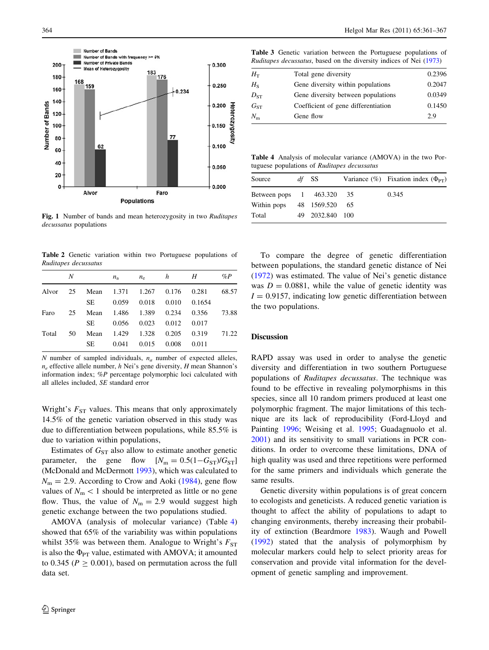<span id="page-3-0"></span>

Fig. 1 Number of bands and mean heterozygosity in two Ruditapes decussatus populations

Table 2 Genetic variation within two Portuguese populations of Ruditapes decussatus

| N  |      | $n_{\rm a}$ | $n_e$ |             | Н                      | $\%P$                  |
|----|------|-------------|-------|-------------|------------------------|------------------------|
| 25 |      |             |       |             | 0.281                  | 68.57                  |
|    | SE.  | 0.059       | 0.018 | 0.010       | 0.1654                 |                        |
| 25 | Mean |             |       |             | 0.356                  | 73.88                  |
|    | SE.  | 0.056       | 0.023 | 0.012       | 0.017                  |                        |
| 50 | Mean |             |       | 0.205       | 0.319                  | 71.22                  |
|    | SE   | 0.041       | 0.015 | 0.008       | 0.011                  |                        |
|    |      |             |       | 1.429 1.328 | h<br>1.486 1.389 0.234 | Mean 1.371 1.267 0.176 |

 $N$  number of sampled individuals,  $n_a$  number of expected alleles,  $n_e$  effective allele number, h Nei's gene diversity, H mean Shannon's information index; %P percentage polymorphic loci calculated with all alleles included, SE standard error

Wright's  $F_{ST}$  values. This means that only approximately 14.5% of the genetic variation observed in this study was due to differentiation between populations, while 85.5% is due to variation within populations,

Estimates of  $G_{ST}$  also allow to estimate another genetic parameter, the gene flow  $[N_{\rm m} = 0.5(1 - G_{\rm ST})/G_{\rm ST}]$ (McDonald and McDermott [1993](#page-5-0)), which was calculated to  $N_{\rm m}$  = 2.9. According to Crow and Aoki ([1984\)](#page-5-0), gene flow values of  $N_m < 1$  should be interpreted as little or no gene flow. Thus, the value of  $N_m = 2.9$  would suggest high genetic exchange between the two populations studied.

AMOVA (analysis of molecular variance) (Table 4) showed that 65% of the variability was within populations whilst 35% was between them. Analogue to Wright's  $F_{ST}$ is also the  $\Phi_{PT}$  value, estimated with AMOVA; it amounted to 0.345 ( $P \ge 0.001$ ), based on permutation across the full data set.

Table 3 Genetic variation between the Portuguese populations of Ruditapes decussatus, based on the diversity indices of Nei ([1973](#page-5-0))

| $H_{\rm T}$ | Total gene diversity                | 0.2396 |
|-------------|-------------------------------------|--------|
| $H_{S}$     | Gene diversity within populations   | 0.2047 |
| $D_{ST}$    | Gene diversity between populations  | 0.0349 |
| $G_{ST}$    | Coefficient of gene differentiation | 0.1450 |
| $N_{\rm m}$ | Gene flow                           | 2.9    |
|             |                                     |        |

Table 4 Analysis of molecular variance (AMOVA) in the two Portuguese populations of Ruditapes decussatus

| Source                     | df SS           | Variance $(\% )$ Fixation index $(\Phi_{PT})$ |
|----------------------------|-----------------|-----------------------------------------------|
| Between pops 1 463.320 35  |                 | 0.345                                         |
| Within pops 48 1569.520 65 |                 |                                               |
| Total                      | 49 2032.840 100 |                                               |

To compare the degree of genetic differentiation between populations, the standard genetic distance of Nei [\(1972](#page-5-0)) was estimated. The value of Nei's genetic distance was  $D = 0.0881$ , while the value of genetic identity was  $I = 0.9157$ , indicating low genetic differentiation between the two populations.

#### Discussion

RAPD assay was used in order to analyse the genetic diversity and differentiation in two southern Portuguese populations of Ruditapes decussatus. The technique was found to be effective in revealing polymorphisms in this species, since all 10 random primers produced at least one polymorphic fragment. The major limitations of this technique are its lack of reproducibility (Ford-Lloyd and Painting [1996](#page-5-0); Weising et al. [1995](#page-5-0); Guadagnuolo et al. [2001](#page-5-0)) and its sensitivity to small variations in PCR conditions. In order to overcome these limitations, DNA of high quality was used and three repetitions were performed for the same primers and individuals which generate the same results.

Genetic diversity within populations is of great concern to ecologists and geneticists. A reduced genetic variation is thought to affect the ability of populations to adapt to changing environments, thereby increasing their probability of extinction (Beardmore [1983\)](#page-4-0). Waugh and Powell [\(1992](#page-5-0)) stated that the analysis of polymorphism by molecular markers could help to select priority areas for conservation and provide vital information for the development of genetic sampling and improvement.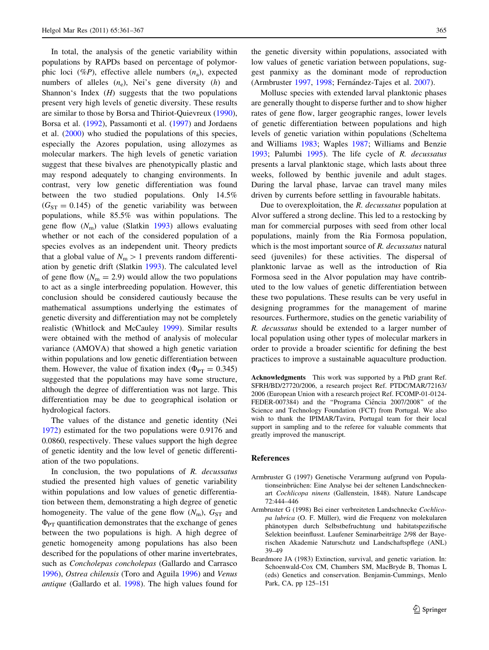<span id="page-4-0"></span>In total, the analysis of the genetic variability within populations by RAPDs based on percentage of polymorphic loci (%P), effective allele numbers  $(n_a)$ , expected numbers of alleles  $(n_e)$ , Nei's gene diversity  $(h)$  and Shannon's Index  $(H)$  suggests that the two populations present very high levels of genetic diversity. These results are similar to those by Borsa and Thiriot-Quievreux [\(1990](#page-5-0)), Borsa et al. ([1992\)](#page-5-0), Passamonti et al. ([1997\)](#page-5-0) and Jordaens et al. [\(2000](#page-5-0)) who studied the populations of this species, especially the Azores population, using allozymes as molecular markers. The high levels of genetic variation suggest that these bivalves are phenotypically plastic and may respond adequately to changing environments. In contrast, very low genetic differentiation was found between the two studied populations. Only 14.5%  $(G<sub>ST</sub> = 0.145)$  of the genetic variability was between populations, while 85.5% was within populations. The gene flow  $(N<sub>m</sub>)$  value (Slatkin [1993](#page-5-0)) allows evaluating whether or not each of the considered population of a species evolves as an independent unit. Theory predicts that a global value of  $N_{\rm m} > 1$  prevents random differentiation by genetic drift (Slatkin [1993\)](#page-5-0). The calculated level of gene flow  $(N<sub>m</sub> = 2.9)$  would allow the two populations to act as a single interbreeding population. However, this conclusion should be considered cautiously because the mathematical assumptions underlying the estimates of genetic diversity and differentiation may not be completely realistic (Whitlock and McCauley [1999](#page-6-0)). Similar results were obtained with the method of analysis of molecular variance (AMOVA) that showed a high genetic variation within populations and low genetic differentiation between them. However, the value of fixation index ( $\Phi_{PT} = 0.345$ ) suggested that the populations may have some structure, although the degree of differentiation was not large. This differentiation may be due to geographical isolation or hydrological factors.

The values of the distance and genetic identity (Nei [1972\)](#page-5-0) estimated for the two populations were 0.9176 and 0.0860, respectively. These values support the high degree of genetic identity and the low level of genetic differentiation of the two populations.

In conclusion, the two populations of  $R$ . *decussatus* studied the presented high values of genetic variability within populations and low values of genetic differentiation between them, demonstrating a high degree of genetic homogeneity. The value of the gene flow  $(N<sub>m</sub>)$ ,  $G<sub>ST</sub>$  and  $\Phi_{PT}$  quantification demonstrates that the exchange of genes between the two populations is high. A high degree of genetic homogeneity among populations has also been described for the populations of other marine invertebrates, such as Concholepas concholepas (Gallardo and Carrasco [1996\)](#page-5-0), Ostrea chilensis (Toro and Aguila [1996](#page-5-0)) and Venus antique (Gallardo et al. [1998](#page-5-0)). The high values found for

the genetic diversity within populations, associated with low values of genetic variation between populations, suggest panmixy as the dominant mode of reproduction (Armbruster 1997, 1998; Fernández-Tajes et al. [2007](#page-5-0)).

Mollusc species with extended larval planktonic phases are generally thought to disperse further and to show higher rates of gene flow, larger geographic ranges, lower levels of genetic differentiation between populations and high levels of genetic variation within populations (Scheltema and Williams [1983;](#page-5-0) Waples [1987;](#page-5-0) Williams and Benzie [1993](#page-6-0); Palumbi [1995\)](#page-5-0). The life cycle of R. decussatus presents a larval planktonic stage, which lasts about three weeks, followed by benthic juvenile and adult stages. During the larval phase, larvae can travel many miles driven by currents before settling in favourable habitats.

Due to overexploitation, the R. decussatus population at Alvor suffered a strong decline. This led to a restocking by man for commercial purposes with seed from other local populations, mainly from the Ria Formosa population, which is the most important source of R. decussatus natural seed (juveniles) for these activities. The dispersal of planktonic larvae as well as the introduction of Ria Formosa seed in the Alvor population may have contributed to the low values of genetic differentiation between these two populations. These results can be very useful in designing programmes for the management of marine resources. Furthermore, studies on the genetic variability of R. decussatus should be extended to a larger number of local population using other types of molecular markers in order to provide a broader scientific for defining the best practices to improve a sustainable aquaculture production.

Acknowledgments This work was supported by a PhD grant Ref. SFRH/BD/27720/2006, a research project Ref. PTDC/MAR/72163/ 2006 (European Union with a research project Ref. FCOMP-01-0124- FEDER-007384) and the "Programa Ciência 2007/2008" of the Science and Technology Foundation (FCT) from Portugal. We also wish to thank the IPIMAR/Tavira, Portugal team for their local support in sampling and to the referee for valuable comments that greatly improved the manuscript.

#### References

- Armbruster G (1997) Genetische Verarmung aufgrund von Populationseinbrüchen: Eine Analyse bei der seltenen Landschneckenart Cochlicopa ninens (Gallenstein, 1848). Nature Landscape 72:444–446
- Armbruster G (1998) Bei einer verbreiteten Landschnecke Cochlicopa lubrica (O. F. Müller), wird die Frequenz von molekularen pha¨notypen durch Selbstbefruchtung und habitatspezifische Selektion beeinflusst. Laufener Seminarbeiträge 2/98 der Bayerischen Akademie Naturschutz und Landschaftspflege (ANL) 39–49
- Beardmore JA (1983) Extinction, survival, and genetic variation. In: Schoenwald-Cox CM, Chambers SM, MacBryde B, Thomas L (eds) Genetics and conservation. Benjamin-Cummings, Menlo Park, CA, pp 125–151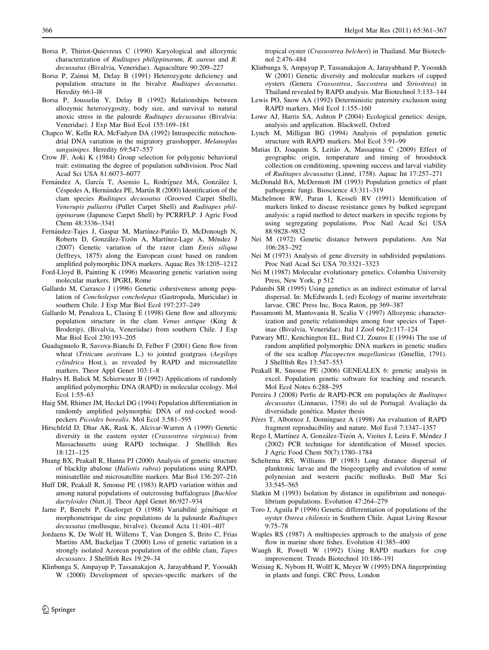- <span id="page-5-0"></span>Borsa P, Thiriot-Quievreux C (1990) Karyological and allozymic characterization of Ruditapes philippinarum, R. aureus and R. decussatus (Bivalvia, Veneridae). Aquaculture 90:209–227
- Borsa P, Zainui M, Delay B (1991) Heterozygote deficiency and population structure in the bivalve Ruditapes decussatus. Heredity 66:l–l8
- Borsa P, Jousselin Y, Delay B (1992) Relationships between allozymic heterozygosity, body size, and survival to natural anoxic stress in the palourde Ruditapes decussatus (Bivalvia: Veneridae). J Exp Mar Biol Ecol 155:169–181
- Chapco W, Kelln RA, McFadyen DA (1992) Intraspecific mitochondrial DNA variation in the migratory grasshopper, Melanoplus sanguinipes. Heredity 69:547–557
- Crow JF, Aoki K (1984) Group selection for polygenic behavioral trait: estimating the degree of population subdivision. Proc Natl Acad Sci USA 81:6073–6077
- Fernández A, García T, Asensio L, Rodríguez MÁ, González I, Céspedes A, Hernández PE, Martín R (2000) Identification of the clam species Ruditapes decussatus (Grooved Carpet Shell), Venerupis pullastra (Pullet Carpet Shell) and Ruditapes philippinarum (Japanese Carpet Shell) by PCRRFLP. J Agric Food Chem 48:3336–3341
- Fernández-Tajes J, Gaspar M, Martínez-Patiño D, McDonough N, Roberts D, González-Tizón A, Martínez-Lage A, Méndez J (2007) Genetic variation of the razor clam Ensis siliqua (Jeffreys, 1875) along the European coast based on random amplified polymorphic DNA markers. Aquac Res 38:1205–1212
- Ford-Lloyd B, Painting K (1996) Measuring genetic variation using molecular markers. IPGRI, Rome
- Gallardo M, Carrasco J (1996) Genetic cohesiveness among population of Concholepas concholepas (Gastropoda, Muricidae) in southern Chile. J Exp Mar Biol Ecol 197:237–249
- Gallardo M, Penaloza L, Clasing E (1998) Gene flow and allozymic population structure in the clam Venus antique (King & Broderip), (Bivalvia, Veneriidae) from southern Chile. J Exp Mar Biol Ecol 230:193–205
- Guadagnuolo R, Savova-Bianchi D, Felber F (2001) Gene flow from wheat (Triticum aestivum L.) to jointed goatgrass (Aegilops cylindrica Host.), as revealed by RAPD and microsatellite markers. Theor Appl Genet 103:1–8
- Hadrys H, Balick M, Schierwater B (1992) Applications of randomly amplified polymorphic DNA (RAPD) in molecular ecology. Mol Ecol 1:55–63
- Haig SM, Rhimer JM, Heckel DG (1994) Population differentiation in randomly amplified polymorphic DNA of red-cocked woodpeckers Picoides borealis. Mol Ecol 3:581–595
- Hirschfeld D, Dhar AK, Rask K, Alcivar-Warren A (1999) Genetic diversity in the eastern oyster (Crassostrea virginica) from Massachusetts using RAPD technique. J Shellfish Res 18:121–125
- Huang BX, Peakall R, Hanna PJ (2000) Analysis of genetic structure of blacklip abalone (Haliotis rubra) populations using RAPD, minisatellite and microsatellite markers. Mar Biol 136:207–216
- Huff DR, Peakall R, Smouse PE (1983) RAPD variation within and among natural populations of outcrossing buffalograss [Buchloe dactyloides (Nutt.)]. Theor Appl Genet 86:927–934
- Jarne P, Berrebi P, Guelorget O (1988) Variabilité génétique et morphometrique de cinc populations de la palourde Ruditapes decussatus (mollusque, bivalve). Oceanol Acta 11:401–407
- Jordaens K, De Wolf H, Willems T, Van Dongen S, Brito C, Frias Martins AM, Backeljau T (2000) Loss of genetic variation in a strongly isolated Azorean population of the edible clam, Tapes decussates. J Shellfish Res 19:29–34
- Klinbunga S, Ampayup P, Tassanakajon A, Jarayabhand P, Yoosukh W (2000) Development of species-specific markers of the

tropical oyster (Crassostrea belcheri) in Thailand. Mar Biotechnol 2:476–484

- Klinbunga S, Ampayup P, Tassanakajon A, Jarayabhand P, Yoosukh W (2001) Genetic diversity and molecular markers of cupped oysters (Genera Crassostrea, Saccostrea and Striostrea) in Thailand revealed by RAPD analysis. Mar Biotechnol 3:133–144
- Lewis PO, Snow AA (1992) Deterministic paternity exclusion using RAPD markers. Mol Ecol 1:155–160
- Lowe AJ, Harris SA, Ashton P (2004) Ecological genetics: design, analysis and application. Blackwell, Oxford
- Lynch M, Milligan BG (1994) Analysis of population genetic structure with RAPD markers. Mol Ecol 3:91–99
- Matias D, Joaquim S, Leitão A, Massapina C (2009) Effect of geographic origin, temperature and timing of broodstock collection on conditioning, spawning success and larval viability of Ruditapes decussatus (Linné, 1758). Aquac Int 17:257-271
- McDonald BA, McDermott JM (1993) Population genetics of plant pathogenic fungi. Bioscience 43:311–319
- Michelmore RW, Paran I, Kesseli RV (1991) Identification of markers linked to disease resistance genes by bulked segregant analysis: a rapid method to detect markers in specific regions by using segregating populations. Proc Natl Acad Sci USA 88:9828–9832
- Nei M (1972) Genetic distance between populations. Am Nat 106:283–292
- Nei M (1973) Analysis of gene diversity in subdivided populations. Proc Natl Acad Sci USA 70:3321–3323
- Nei M (1987) Molecular evolutionary genetics. Columbia University Press, New York, p 512
- Palumbi SR (1995) Using genetics as an indirect estimator of larval dispersal. In: McEdwards L (ed) Ecology of marine invertebrate larvae. CRC Press Inc, Boca Raton, pp 369–387
- Passamonti M, Mantovania B, Scalia V (1997) Allozymic characterization and genetic relationships among four species of Tapetinae (Bivalvia, Veneridae). Ital J Zool 64(2):117–124
- Patwary MU, Kenchington EL, Bird CJ, Zouros E (1994) The use of random amplified polymorphic DNA markers in genetic studies of the sea scallop Placopecten magellanicus (Gmellin, 1791). J Shellfish Res 13:547–553
- Peakall R, Smouse PE (2006) GENEALEX 6: genetic analysis in excel. Population genetic software for teaching and research. Mol Ecol Notes 6:288–295
- Pereira J (2008) Perfis de RAPD-PCR em populações de Ruditapes decussatus (Linnaeus, 1758) do sul de Portugal: Avaliação da diversidade genética. Master thesis
- Péres T, Albornoz J, Domínguez A (1998) An evaluation of RAPD fragment reproducibility and nature. Mol Ecol 7:1347–1357
- Rego I, Martínez A, González-Tizón A, Vieites J, Leira F, Méndez J (2002) PCR technique for identification of Mussel species. J Agric Food Chem 50(7):1780–1784
- Scheltema RS, Williams IP (1983) Long distance dispersal of planktonic larvae and the biogeography and evolution of some polynesian and western pacific mollusks. Bull Mar Sci 33:545–565
- Slatkin M (1993) Isolation by distance in equilibrium and nonequilibrium populations. Evolution 47:264–279
- Toro J, Aguila P (1996) Genetic differentiation of populations of the oyster Ostrea chilensis in Southern Chile. Aquat Living Resour 9:75–78
- Waples RS (1987) A multispecies approach to the analysis of gene flow in marine shore fishes. Evolution 41:385–400
- Waugh R, Powell W (1992) Using RAPD markers for crop improvement. Trends Biotechnol 10:186–191
- Weising K, Nybom H, Wolff K, Meyer W (1995) DNA fingerprinting in plants and fungi. CRC Press, London